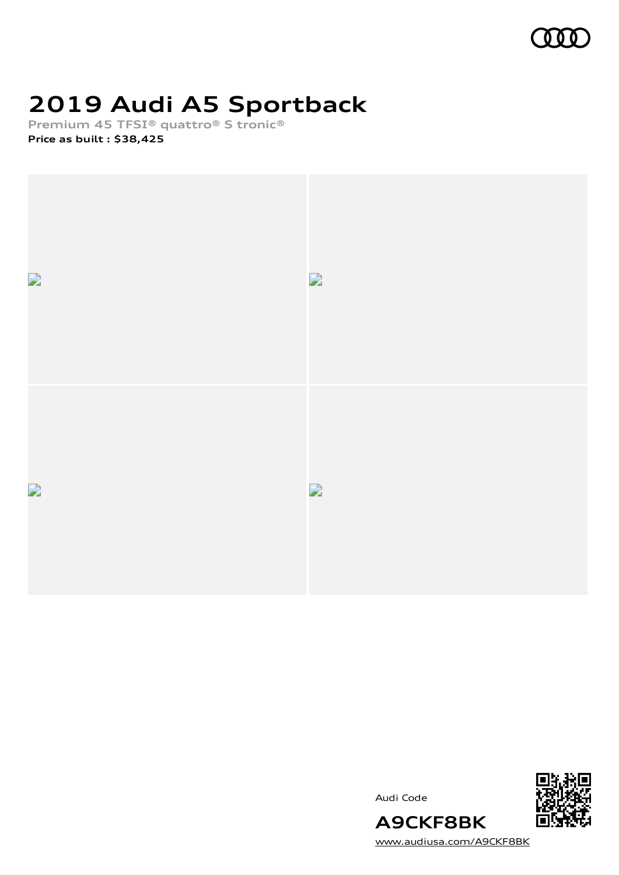

# **2019 Audi A5 Sportback**

**Premium 45 TFSI® quattro® S tronic®**

**Price as built [:](#page-10-0) \$38,425**



Audi Code



[www.audiusa.com/A9CKF8BK](https://www.audiusa.com/A9CKF8BK)

**A9CKF8BK**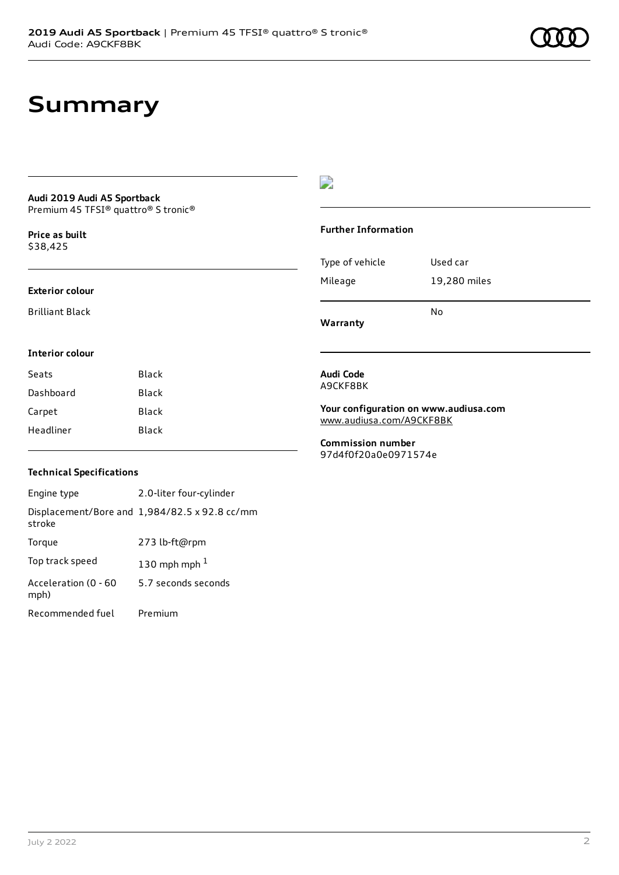## **Summary**

#### **Audi 2019 Audi A5 Sportback** Premium 45 TFSI® quattro® S tronic®

**Price as buil[t](#page-10-0)** \$38,425

#### **Exterior colour**

Brilliant Black

### D

#### **Further Information**

|                 | N٥           |
|-----------------|--------------|
| Mileage         | 19,280 miles |
| Type of vehicle | Used car     |

**Warranty**

### **Interior colour**

| Seats     | Black |
|-----------|-------|
| Dashboard | Black |
| Carpet    | Black |
| Headliner | Black |
|           |       |

#### **Audi Code** A9CKF8BK

**Your configuration on www.audiusa.com** [www.audiusa.com/A9CKF8BK](https://www.audiusa.com/A9CKF8BK)

**Commission number** 97d4f0f20a0e0971574e

### **Technical Specifications**

Engine type 2.0-liter four-cylinder Displacement/Bore and 1,984/82.5 x 92.8 cc/mm stroke Torque 273 lb-ft@rpm Top track speed  $130$  $130$  mph mph  $^{\rm 1}$ Acceleration (0 - 60 mph) 5.7 seconds seconds Recommended fuel Premium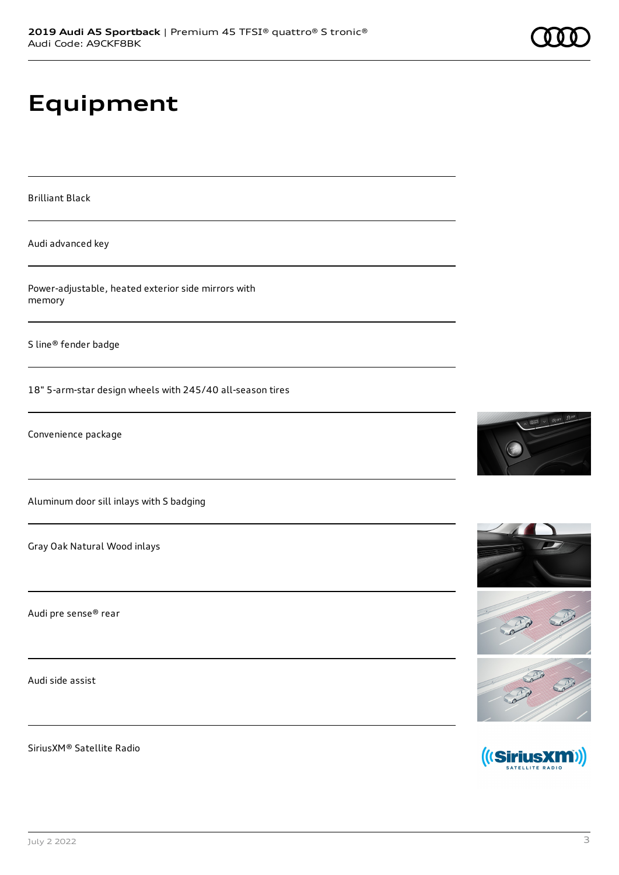## **Equipment**

Brilliant Black

Audi advanced key

Power-adjustable, heated exterior side mirrors with memory

S line® fender badge

18" 5-arm-star design wheels with 245/40 all-season tires

Convenience package

Aluminum door sill inlays with S badging

Gray Oak Natural Wood inlays

Audi pre sense® rear

Audi side assist

SiriusXM® Satellite Radio





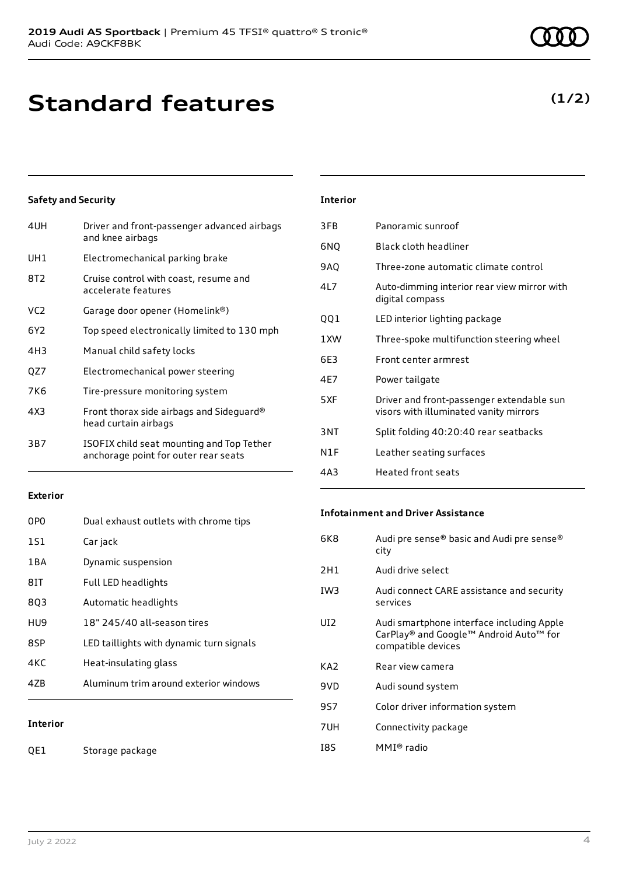## **Standard features**

### **Safety and Security**

| 4UH             | Driver and front-passenger advanced airbags<br>and knee airbags                   |
|-----------------|-----------------------------------------------------------------------------------|
| UH1             | Electromechanical parking brake                                                   |
| 8T2             | Cruise control with coast, resume and<br>accelerate features                      |
| VC <sub>2</sub> | Garage door opener (Homelink®)                                                    |
| 6Y <sub>2</sub> | Top speed electronically limited to 130 mph                                       |
| 4H <sub>3</sub> | Manual child safety locks                                                         |
| QZ7             | Electromechanical power steering                                                  |
| 7K6             | Tire-pressure monitoring system                                                   |
| 4X3             | Front thorax side airbags and Sideguard®<br>head curtain airbags                  |
| 3B7             | ISOFIX child seat mounting and Top Tether<br>anchorage point for outer rear seats |
|                 |                                                                                   |

### **Exterior**

| 0PO             | Dual exhaust outlets with chrome tips    |
|-----------------|------------------------------------------|
| 1S1             | Car jack                                 |
| 1 B A           | Dynamic suspension                       |
| 81T             | Full LED headlights                      |
| 803             | Automatic headlights                     |
| HU9             | 18" 245/40 all-season tires              |
| 8SP             | LED taillights with dynamic turn signals |
| 4KC             | Heat-insulating glass                    |
| 47B             | Aluminum trim around exterior windows    |
|                 |                                          |
| <b>Interior</b> |                                          |

QE1 Storage package

### **Interior**

| 3FB  | Panoramic sunroof                                                                   |
|------|-------------------------------------------------------------------------------------|
| 6NQ  | Black cloth headliner                                                               |
| 9AO  | Three-zone automatic climate control                                                |
| 417  | Auto-dimming interior rear view mirror with<br>digital compass                      |
| QQ1  | LED interior lighting package                                                       |
| 1 XW | Three-spoke multifunction steering wheel                                            |
| 6F3  | Front center armrest                                                                |
| 4F7  | Power tailgate                                                                      |
| 5XF  | Driver and front-passenger extendable sun<br>visors with illuminated vanity mirrors |
| 3NT  | Split folding 40:20:40 rear seatbacks                                               |
| N1F  | Leather seating surfaces                                                            |
| 4A3  | Heated front seats                                                                  |

#### **Infotainment and Driver Assistance**

| 6K8             | Audi pre sense® basic and Audi pre sense®<br>city                                                         |
|-----------------|-----------------------------------------------------------------------------------------------------------|
| 2H1             | Audi drive select                                                                                         |
| IW <sub>3</sub> | Audi connect CARE assistance and security<br>services                                                     |
| UI2             | Audi smartphone interface including Apple<br>CarPlay® and Google™ Android Auto™ for<br>compatible devices |
| KA2             | Rear view camera                                                                                          |
| 9VD             | Audi sound system                                                                                         |
| 9S7             | Color driver information system                                                                           |
| 7UH             | Connectivity package                                                                                      |
| 18S             | MMI® radio                                                                                                |

### **(1/2)**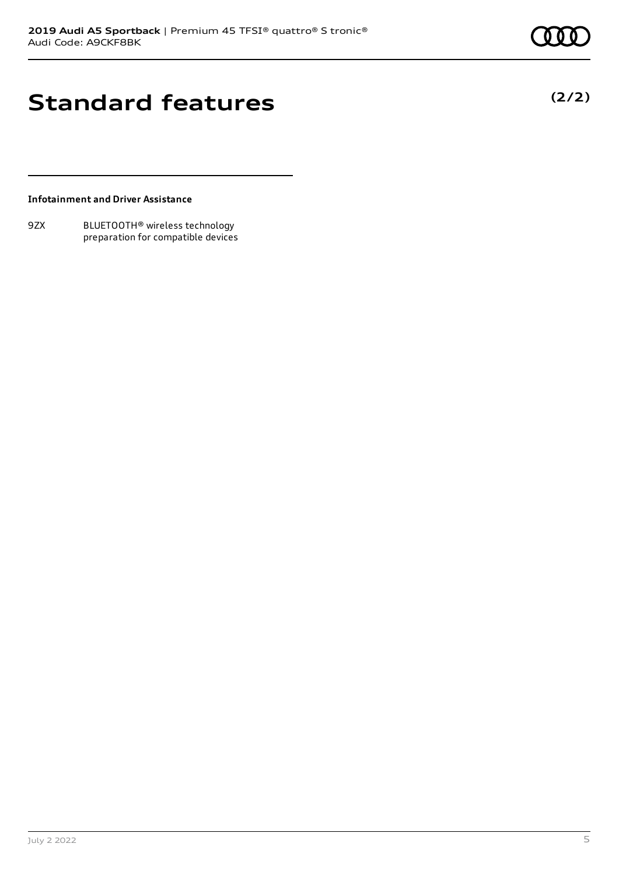**(2/2)**

## **Standard features**

### **Infotainment and Driver Assistance**

9ZX BLUETOOTH® wireless technology preparation for compatible devices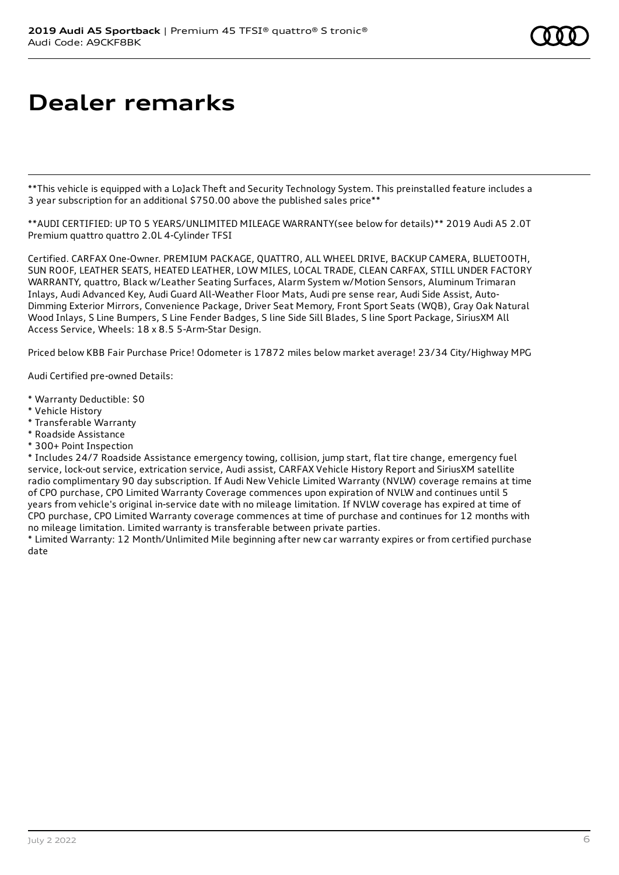# **Dealer remarks**

\*\*This vehicle is equipped with a LoJack Theft and Security Technology System. This preinstalled feature includes a 3 year subscription for an additional \$750.00 above the published sales price\*\*

\*\*AUDI CERTIFIED: UP TO 5 YEARS/UNLIMITED MILEAGE WARRANTY(see below for details)\*\* 2019 Audi A5 2.0T Premium quattro quattro 2.0L 4-Cylinder TFSI

Certified. CARFAX One-Owner. PREMIUM PACKAGE, QUATTRO, ALL WHEEL DRIVE, BACKUP CAMERA, BLUETOOTH, SUN ROOF, LEATHER SEATS, HEATED LEATHER, LOW MILES, LOCAL TRADE, CLEAN CARFAX, STILL UNDER FACTORY WARRANTY, quattro, Black w/Leather Seating Surfaces, Alarm System w/Motion Sensors, Aluminum Trimaran Inlays, Audi Advanced Key, Audi Guard All-Weather Floor Mats, Audi pre sense rear, Audi Side Assist, Auto-Dimming Exterior Mirrors, Convenience Package, Driver Seat Memory, Front Sport Seats (WQB), Gray Oak Natural Wood Inlays, S Line Bumpers, S Line Fender Badges, S line Side Sill Blades, S line Sport Package, SiriusXM All Access Service, Wheels: 18 x 8.5 5-Arm-Star Design.

Priced below KBB Fair Purchase Price! Odometer is 17872 miles below market average! 23/34 City/Highway MPG

Audi Certified pre-owned Details:

- \* Warranty Deductible: \$0
- \* Vehicle History
- \* Transferable Warranty
- \* Roadside Assistance
- \* 300+ Point Inspection

\* Includes 24/7 Roadside Assistance emergency towing, collision, jump start, flat tire change, emergency fuel service, lock-out service, extrication service, Audi assist, CARFAX Vehicle History Report and SiriusXM satellite radio complimentary 90 day subscription. If Audi New Vehicle Limited Warranty (NVLW) coverage remains at time of CPO purchase, CPO Limited Warranty Coverage commences upon expiration of NVLW and continues until 5 years from vehicle's original in-service date with no mileage limitation. If NVLW coverage has expired at time of CPO purchase, CPO Limited Warranty coverage commences at time of purchase and continues for 12 months with no mileage limitation. Limited warranty is transferable between private parties.

\* Limited Warranty: 12 Month/Unlimited Mile beginning after new car warranty expires or from certified purchase date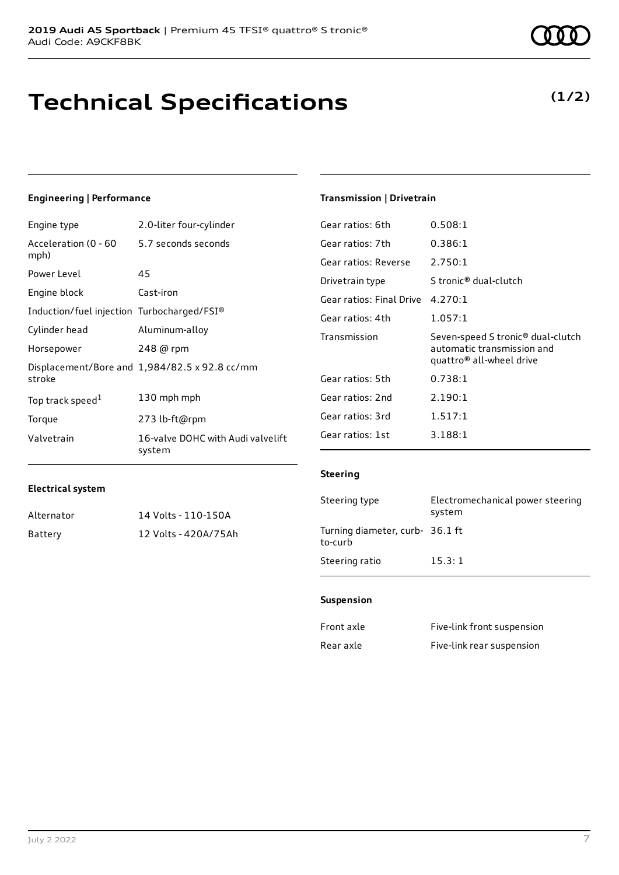## **Technical Specifications**

5.7 seconds seconds

#### July 2 2022 7

| <b>Electrical system</b> |  |
|--------------------------|--|

Top track speed<sup>1</sup>

**Engineering | Performance**

Power Level 45

Engine block Cast-iron

Acceleration (0 - 60

mph)

stroke

Engine type 2.0-liter four-cylinder

Induction/fuel injection Turbocharged/FSI® Cylinder head Aluminum-alloy Horsepower 248 @ rpm

Torque 273 lb-ft@rpm

Displacement/Bore and 1,984/82.5 x 92.8 cc/mm

[1](#page-10-0) 130 mph mph

Valvetrain 16-valve DOHC with Audi valvelift system

| Alternator | 14 Volts - 110-150A  |
|------------|----------------------|
| Battery    | 12 Volts - 420A/75Ah |

### **Transmission | Drivetrain**

| Gear ratios: 6th         | 0.508:1                                                                                                             |
|--------------------------|---------------------------------------------------------------------------------------------------------------------|
| Gear ratios: 7th         | 0.386:1                                                                                                             |
| Gear ratios: Reverse     | 2.750:1                                                                                                             |
| Drivetrain type          | S tronic® dual-clutch                                                                                               |
| Gear ratios: Final Drive | 4.270:1                                                                                                             |
| Gear ratios: 4th         | 1.057:1                                                                                                             |
|                          |                                                                                                                     |
| Transmission             | Seven-speed S tronic <sup>®</sup> dual-clutch<br>automatic transmission and<br>quattro <sup>®</sup> all-wheel drive |
| Gear ratios: 5th         | 0.738:1                                                                                                             |
| Gear ratios: 2nd         | 2.190:1                                                                                                             |
| Gear ratios: 3rd         | 1.517:1                                                                                                             |
| Gear ratios: 1st         | 3.188:1                                                                                                             |

### **Steering**

| Steering type                              | Electromechanical power steering<br>system |
|--------------------------------------------|--------------------------------------------|
| Turning diameter, curb- 36.1 ft<br>to-curb |                                            |
| Steering ratio                             | 15.3:1                                     |

#### **Suspension**

| Front axle | Five-link front suspension |
|------------|----------------------------|
| Rear axle  | Five-link rear suspension  |



### **(1/2)**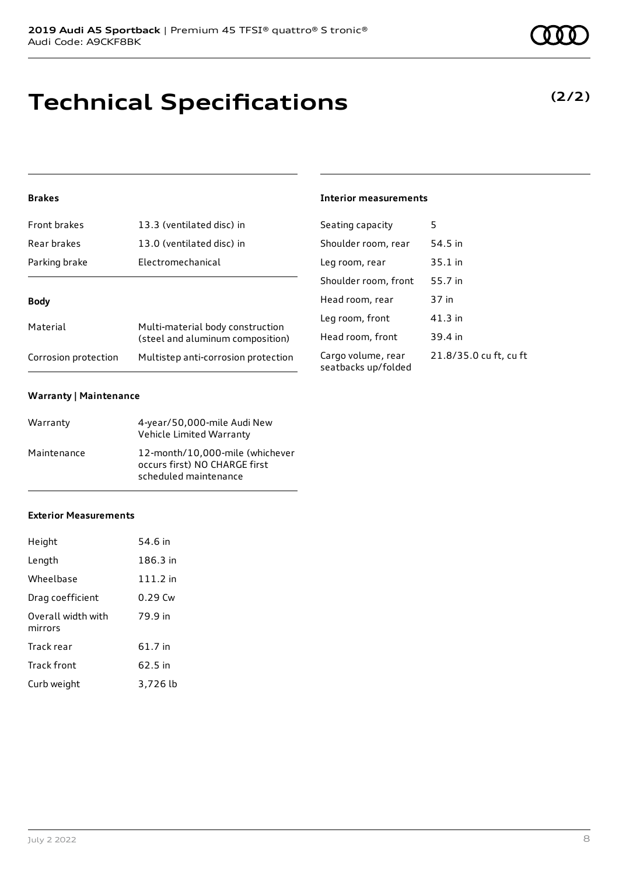## **Technical Specifications**

### **Brakes**

| Front brakes         | 13.3 (ventilated disc) in                                            |
|----------------------|----------------------------------------------------------------------|
| Rear brakes          | 13.0 (ventilated disc) in                                            |
| Parking brake        | Electromechanical                                                    |
|                      |                                                                      |
| Body                 |                                                                      |
| Material             | Multi-material body construction<br>(steel and aluminum composition) |
| Corrosion protection | Multistep anti-corrosion protection                                  |

#### **Warranty | Maintenance**

| Warranty    | 4-year/50,000-mile Audi New<br>Vehicle Limited Warranty                                   |
|-------------|-------------------------------------------------------------------------------------------|
| Maintenance | 12-month/10,000-mile (whichever<br>occurs first) NO CHARGE first<br>scheduled maintenance |

#### **Exterior Measurements**

| Height                        | 54.6 in    |
|-------------------------------|------------|
| Length                        | 186.3 in   |
| Wheelbase                     | $111.2$ in |
| Drag coefficient              | $0.29$ Cw  |
| Overall width with<br>mirrors | 79.9 in    |
| Track rear                    | 61.7 in    |
| Track front                   | 62.5 in    |
| Curb weight                   | 3,726 lb   |

**(2/2)**

### **Interior measurements**

| Seating capacity                          | 5                      |
|-------------------------------------------|------------------------|
| Shoulder room, rear                       | 54.5 in                |
| Leg room, rear                            | 35.1 in                |
| Shoulder room, front                      | 55.7 in                |
| Head room, rear                           | 37 in                  |
| Leg room, front                           | $41.3$ in              |
| Head room, front                          | 39.4 in                |
| Cargo volume, rear<br>seatbacks up/folded | 21.8/35.0 cu ft, cu ft |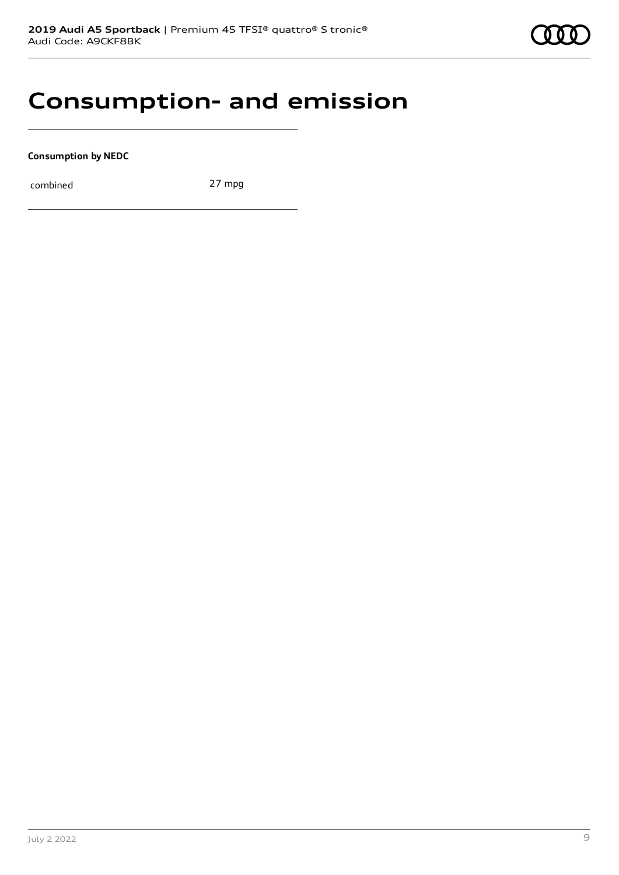## **Consumption- and emission**

**Consumption by NEDC**

combined 27 mpg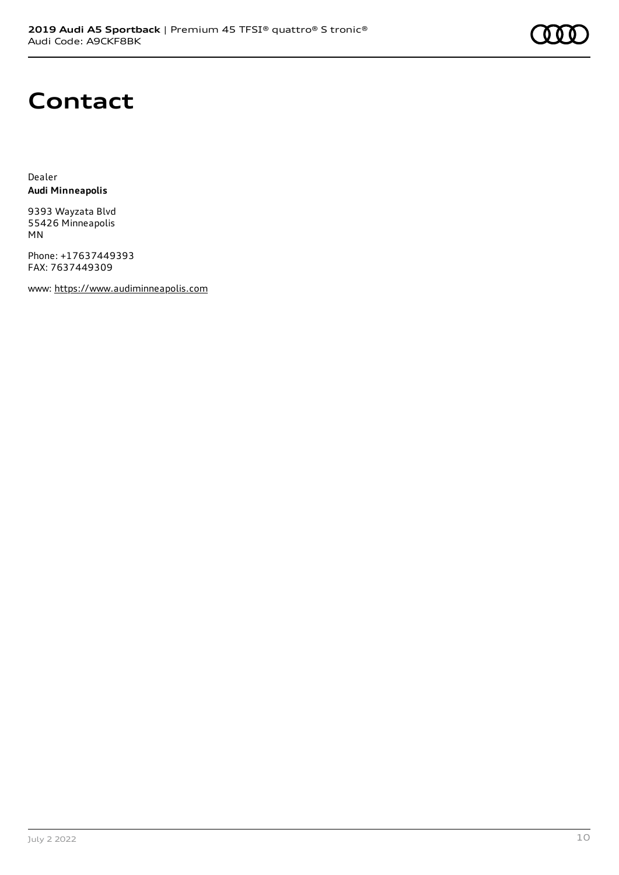

### **Contact**

Dealer **Audi Minneapolis**

9393 Wayzata Blvd 55426 Minneapolis MN

Phone: +17637449393 FAX: 7637449309

www: [https://www.audiminneapolis.com](https://www.audiminneapolis.com/)